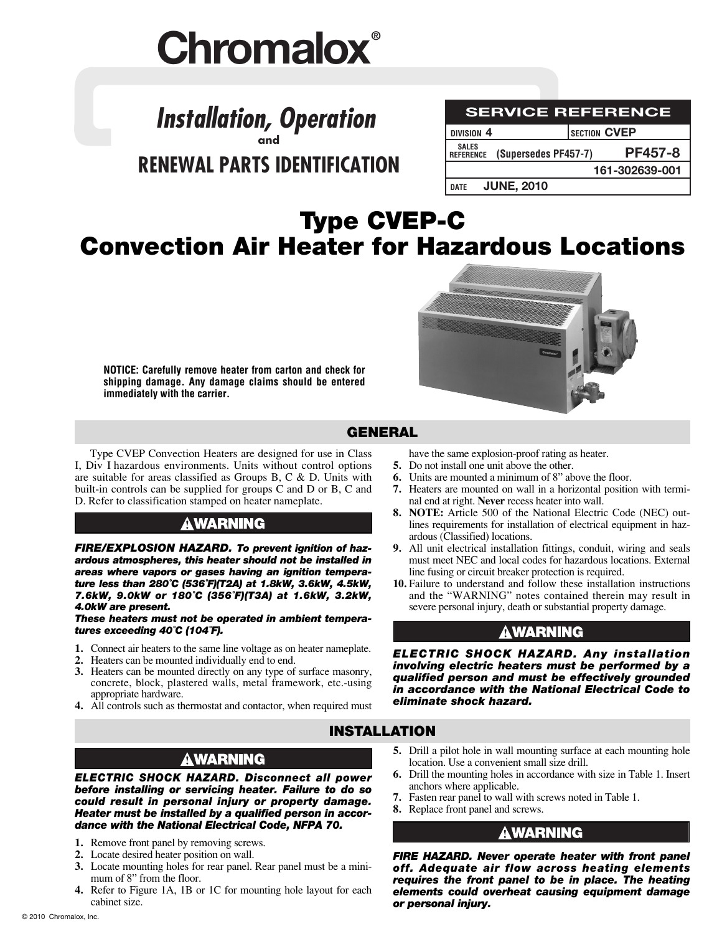# **Chromalox®**

## **Installation, Operation and RENEWAL PARTS IDENTIFICATION**

| <b>SERVICE REFERENCE</b>         |  |                      |                     |                |  |  |  |  |
|----------------------------------|--|----------------------|---------------------|----------------|--|--|--|--|
| DIVISION <sub>4</sub>            |  |                      | <b>SECTION CVEP</b> |                |  |  |  |  |
| <b>SALES</b><br><b>REFERENCE</b> |  | (Supersedes PF457-7) |                     | <b>PF457-8</b> |  |  |  |  |
|                                  |  |                      |                     | 161-302639-001 |  |  |  |  |
| <b>DATE</b>                      |  | <b>JUNE, 2010</b>    |                     |                |  |  |  |  |

# **Type CVEP-C Convection Air Heater for Hazardous Locations**

**NOTICE: Carefully remove heater from carton and check for shipping damage. Any damage claims should be entered immediately with the carrier.**



## **GENERAL**

Type CVEP Convection Heaters are designed for use in Class I, Div I hazardous environments. Units without control options are suitable for areas classified as Groups B, C & D. Units with built-in controls can be supplied for groups C and D or B, C and D. Refer to classification stamped on heater nameplate.

## **AWARNING**

*FIRE/EXPLOSION HAZARD. To prevent ignition of hazardous atmospheres, this heater should not be installed in areas where vapors or gases having an ignition temperature less than 280˚C (536˚F)(T2A) at 1.8kW, 3.6kW, 4.5kW, 7.6kW, 9.0kW or 180˚C (356˚F)(T3A) at 1.6kW, 3.2kW, 4.0kW are present.*

*These heaters must not be operated in ambient temperatures exceeding 40˚C (104˚F).*

- **1.** Connect air heaters to the same line voltage as on heater nameplate.
- **2.** Heaters can be mounted individually end to end.
- **3.** Heaters can be mounted directly on any type of surface masonry, concrete, block, plastered walls, metal framework, etc.-using appropriate hardware.
- **4.** All controls such as thermostat and contactor, when required must
- have the same explosion-proof rating as heater.
- **5.** Do not install one unit above the other.
- **6.** Units are mounted a minimum of 8" above the floor.
- **7.** Heaters are mounted on wall in a horizontal position with terminal end at right. **Never** recess heater into wall.
- **8. NOTE:** Article 500 of the National Electric Code (NEC) outlines requirements for installation of electrical equipment in hazardous (Classified) locations.
- **9.** All unit electrical installation fittings, conduit, wiring and seals must meet NEC and local codes for hazardous locations. External line fusing or circuit breaker protection is required.
- **10.** Failure to understand and follow these installation instructions and the "WARNING" notes contained therein may result in severe personal injury, death or substantial property damage.

## **AWARNING**

*ELECTRIC SHOCK HAZARD. Any installation involving electric heaters must be performed by a qualified person and must be effectively grounded in accordance with the National Electrical Code to eliminate shock hazard.*

## **INSTALLATION**

## **AWARNING**

*ELECTRIC SHOCK HAZARD. Disconnect all power before installing or servicing heater. Failure to do so could result in personal injury or property damage. Heater must be installed by a qualified person in accordance with the National Electrical Code, NFPA 70.*

- **1.** Remove front panel by removing screws.
- **2.** Locate desired heater position on wall.
- **3.** Locate mounting holes for rear panel. Rear panel must be a minimum of 8" from the floor.
- **4.** Refer to Figure 1A, 1B or 1C for mounting hole layout for each cabinet size.
- **5.** Drill a pilot hole in wall mounting surface at each mounting hole location. Use a convenient small size drill.
- **6.** Drill the mounting holes in accordance with size in Table 1. Insert anchors where applicable.
- **7.** Fasten rear panel to wall with screws noted in Table 1.
- **8.** Replace front panel and screws.

## **AWARNING**

*FIRE HAZARD. Never operate heater with front panel off. Adequate air flow across heating elements requires the front panel to be in place. The heating elements could overheat causing equipment damage or personal injury.*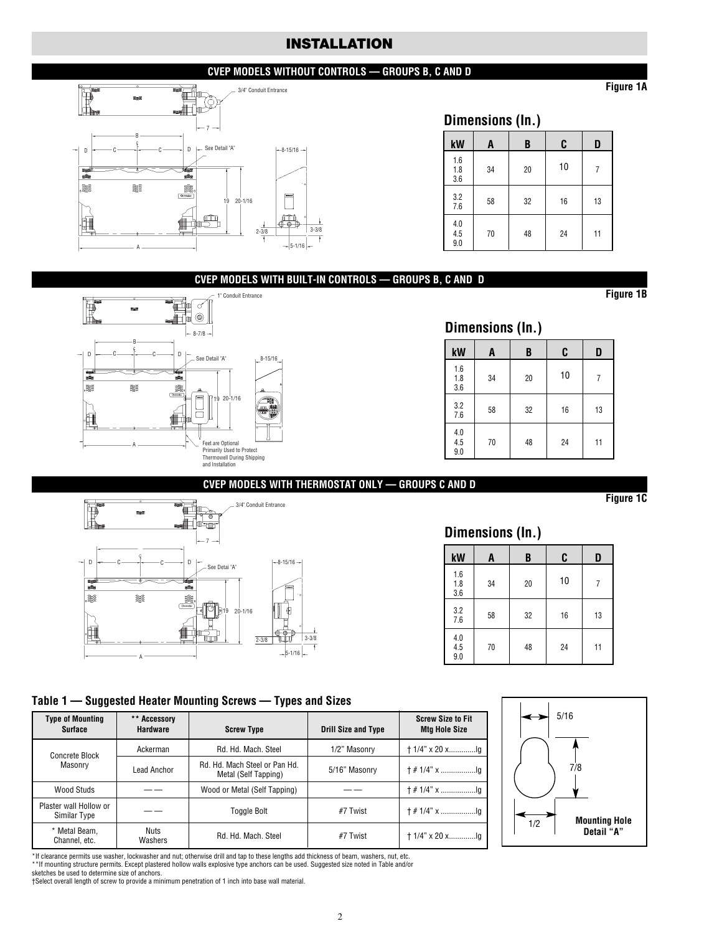## **INSTALLATION**

#### **CVEP MODELS WITHOUT CONTROLS — GROUPS B, C AND D**



#### **Dimensions (In.)**

| kW                                               | A  | B  | C  | D  |
|--------------------------------------------------|----|----|----|----|
| 1.6<br>1.8<br>3.6                                | 34 | 20 | 10 |    |
| $3.2\,$<br>7.6                                   | 58 | 32 | 16 | 13 |
| $\begin{array}{c} 4.0 \\ 4.5 \end{array}$<br>9.0 | 70 | 48 | 24 | 11 |

#### **CVEP MODELS WITH BUILT-IN CONTROLS — GROUPS B, C AND D**



## **Dimensions (In.)**

| kW                                               | A  | B  | C  | D  |
|--------------------------------------------------|----|----|----|----|
| 1.6<br>1.8<br>3.6                                | 34 | 20 | 10 |    |
| 3.2<br>7.6                                       | 58 | 32 | 16 | 13 |
| $\begin{array}{c} 4.0 \\ 4.5 \end{array}$<br>9.0 | 70 | 48 | 24 | 11 |

#### **CVEP MODELS WITH THERMOSTAT ONLY — GROUPS C AND D**



#### **Dimensions (In.)**

| kW                                               | A  | B  | C  | D  |
|--------------------------------------------------|----|----|----|----|
| 1.6<br>$\frac{1.8}{3.6}$                         | 34 | 20 | 10 | 7  |
| $3.2\,$<br>7.6                                   | 58 | 32 | 16 | 13 |
| $\begin{array}{c} 4.0 \\ 4.5 \\ 9.0 \end{array}$ | 70 | 48 | 24 | 11 |

#### **Table 1 — Suggested Heater Mounting Screws — Types and Sizes**

| <b>Type of Mounting</b><br><b>Surface</b>         | ** Accessory<br><b>Hardware</b><br><b>Screw Type</b> |                                                       | <b>Drill Size and Type</b> | <b>Screw Size to Fit</b><br><b>Mtg Hole Size</b> |
|---------------------------------------------------|------------------------------------------------------|-------------------------------------------------------|----------------------------|--------------------------------------------------|
| Concrete Block                                    | Ackerman                                             | Rd. Hd. Mach. Steel                                   | 1/2" Masonry               | $+1/4$ " x 20 xlq                                |
| Masonry                                           | Lead Anchor                                          | Rd. Hd. Mach Steel or Pan Hd.<br>Metal (Self Tapping) | 5/16" Masonry              |                                                  |
| Wood Studs                                        |                                                      | Wood or Metal (Self Tapping)                          |                            |                                                  |
| Plaster wall Hollow or<br>Similar Type            |                                                      | <b>Toggle Bolt</b>                                    | #7 Twist                   |                                                  |
| * Metal Beam.<br>Nuts<br>Washers<br>Channel, etc. |                                                      | Rd. Hd. Mach. Steel                                   | #7 Twist                   |                                                  |



\*If clearance permits use washer, lockwasher and nut; otherwise drill and tap to these lengths add thickness of beam, washers, nut, etc.

\*\*If mounting structure permits. Except plastered hollow walls explosive type anchors can be used. Suggested size noted in Table and/or sketches be used to determine size of anchors.

†Select overall length of screw to provide a minimum penetration of 1 inch into base wall material.

**Figure 1B**

**Figure 1A**

**Figure 1C**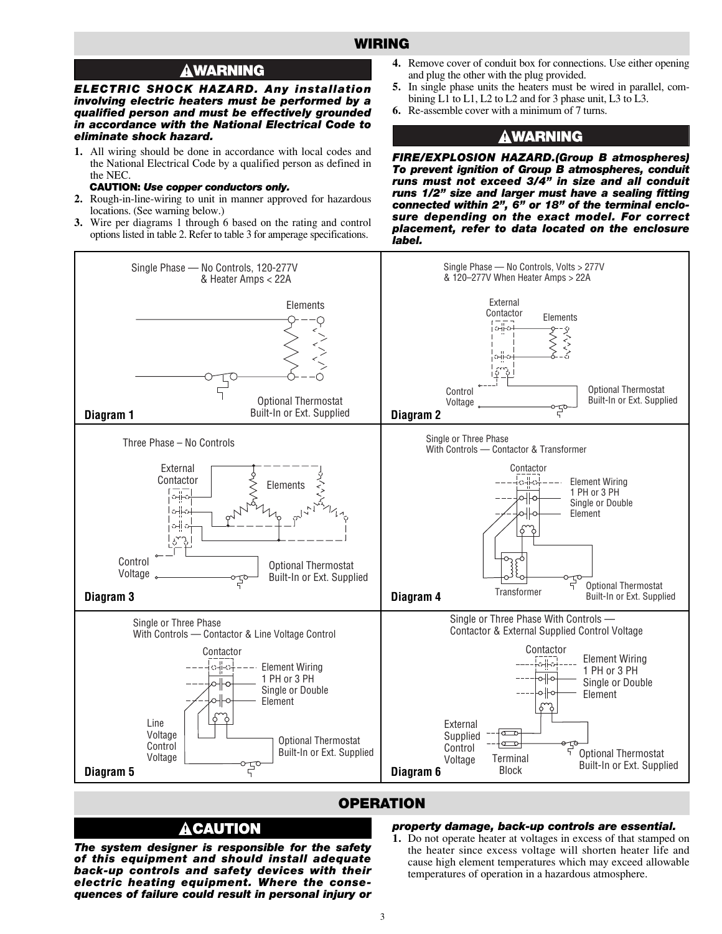### **WIRING**

## **AWARNING**

*ELECTRIC SHOCK HAZARD. Any installation involving electric heaters must be performed by a qualified person and must be effectively grounded in accordance with the National Electrical Code to eliminate shock hazard.*

**1.** All wiring should be done in accordance with local codes and the National Electrical Code by a qualified person as defined in the NEC.

#### **CAUTION:** *Use copper conductors only.*

- **2.** Rough-in-line-wiring to unit in manner approved for hazardous locations. (See warning below.)
- **3.** Wire per diagrams 1 through 6 based on the rating and control options listed in table 2. Refer to table 3 for amperage specifications.
- **4.** Remove cover of conduit box for connections. Use either opening and plug the other with the plug provided.
- **5.** In single phase units the heaters must be wired in parallel, combining L1 to L1, L2 to L2 and for 3 phase unit, L3 to L3.
- **6.** Re-assemble cover with a minimum of 7 turns.

## **A WARNING**

*FIRE/EXPLOSION HAZARD.(Group B atmospheres) To prevent ignition of Group B atmospheres, conduit runs must not exceed 3/4" in size and all conduit runs 1/2" size and larger must have a sealing fitting connected within 2", 6" or 18" of the terminal enclosure depending on the exact model. For correct placement, refer to data located on the enclosure label.*



#### **OPERATION**

#### *property damage, back-up controls are essential.*

*The system designer is responsible for the safety of this equipment and should install adequate back-up controls and safety devices with their electric heating equipment. Where the consequences of failure could result in personal injury or*

A CAUTION

**1.** Do not operate heater at voltages in excess of that stamped on the heater since excess voltage will shorten heater life and cause high element temperatures which may exceed allowable temperatures of operation in a hazardous atmosphere.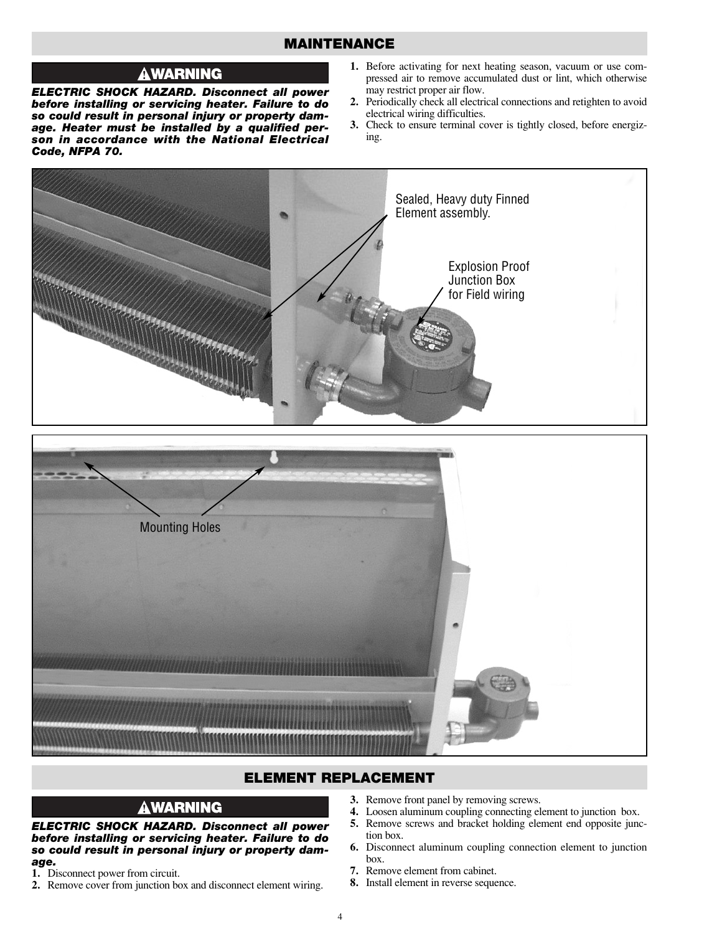## **MAINTENANCE**

## **AWARNING**

*ELECTRIC SHOCK HAZARD. Disconnect all power before installing or servicing heater. Failure to do so could result in personal injury or property damage. Heater must be installed by a qualified person in accordance with the National Electrical Code, NFPA 70.*

- **1.** Before activating for next heating season, vacuum or use compressed air to remove accumulated dust or lint, which otherwise may restrict proper air flow.
- **2.** Periodically check all electrical connections and retighten to avoid electrical wiring difficulties.
- **3.** Check to ensure terminal cover is tightly closed, before energizing.



## **ELEMENT REPLACEMENT**

## **AWARNING**

*ELECTRIC SHOCK HAZARD. Disconnect all power before installing or servicing heater. Failure to do so could result in personal injury or property damage.*

- **1.** Disconnect power from circuit.
- **2.** Remove cover from junction box and disconnect element wiring.
- **3.** Remove front panel by removing screws.
- **4.** Loosen aluminum coupling connecting element to junction box.
- **5.** Remove screws and bracket holding element end opposite junction box.
- **6.** Disconnect aluminum coupling connection element to junction box.
- **7.** Remove element from cabinet.
- **8.** Install element in reverse sequence.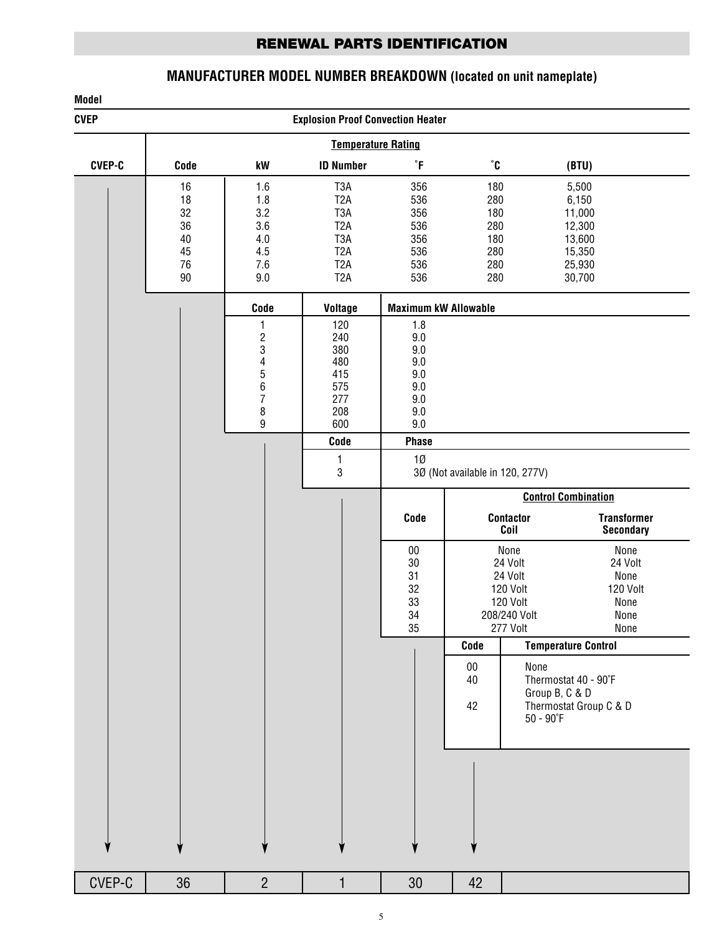## **RENEWAL PARTS IDENTIFICATION**

## **MANUFACTURER MODEL NUMBER BREAKDOWN (located on unit nameplate)**

## CVEP-C | 36 | 2 | 1 | 30 | 42 **Model CVEP Explosion Proof Convection Heater Temperature Rating CVEP-C Code kW ID Number ˚F ˚C (BTU)** 16 1.6 T3A 356 180 5,500 18 1.8 T2A 536 280 6,150 32 3.2 T3A 356 180 11,000 36 3.6 T2A 536 280 12,300 40 4.0 T3A 356 180 13,600 45 4.5 T2A 536 280 15,350 76 7.6 T2A 536 280 25,930 90 9.0 T2A 536 280 30,700 **Code Voltage Maximum kW Allowable**  $\begin{array}{c|c|c|c|c} 1 & 120 & 1.8 \\ 2 & 240 & 9.0 \end{array}$  $\begin{array}{c|c|c|c|c} 2 & 240 & 9.0 \\ 3 & 380 & 9.0 \end{array}$ 3 380 9.0 4 480 9.0 5 415 9.0 6 575 9.0 7 277 9.0 8 208 9.0 9 600 9.0 **Code Phase** 1 1Ø 3 3Ø (Not available in 120, 277V) **Control Combination Code Contactor Transformer Secondary** 00 None None 30 24 Volt 24 Volt 31 24 Volt None 32 120 Volt 120 Volt 120 Volt 34 208/240 Volt None 35 277 Volt None **Code Temperature Control** 00 None<br>40 Thern 40 Thermostat 40 - 90˚F Group B, C & D 42 Thermostat Group C & D 50 - 90˚F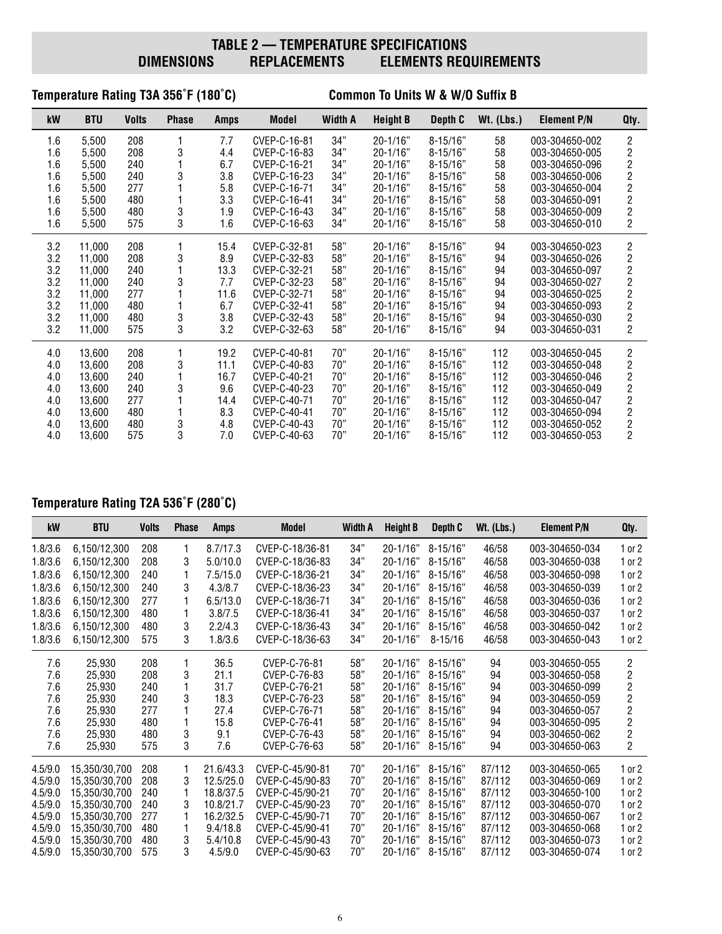## **TABLE 2 — TEMPERATURE SPECIFICATIONS<br>DIMENSIONS REPLACEMENTS ELEMENTS REQ ELEMENTS REQUIREMENTS**

## **Temperature Rating T3A 356˚F (180˚C) Common To Units W & W/O Suffix B**

| kW  | <b>BTU</b> | <b>Volts</b> | <b>Phase</b> | <b>Amps</b> | Model        | <b>Width A</b> | <b>Height B</b> | Depth C      | $Wt.$ (Lbs.) | <b>Element P/N</b> | Qty.                                       |
|-----|------------|--------------|--------------|-------------|--------------|----------------|-----------------|--------------|--------------|--------------------|--------------------------------------------|
| 1.6 | 5,500      | 208          |              | 7.7         | CVEP-C-16-81 | 34"            | $20 - 1/16"$    | $8 - 15/16"$ | 58           | 003-304650-002     | $\overline{2}$                             |
| 1.6 | 5,500      | 208          | 3            | 4.4         | CVEP-C-16-83 | 34"            | $20 - 1/16"$    | $8 - 15/16"$ | 58           | 003-304650-005     |                                            |
| 1.6 | 5.500      | 240          |              | 6.7         | CVEP-C-16-21 | 34"            | $20 - 1/16"$    | $8 - 15/16"$ | 58           | 003-304650-096     | $\begin{array}{c} 2 \\ 2 \\ 2 \end{array}$ |
| 1.6 | 5,500      | 240          | 3            | 3.8         | CVEP-C-16-23 | 34"            | $20 - 1/16"$    | $8 - 15/16"$ | 58           | 003-304650-006     |                                            |
| 1.6 | 5,500      | 277          |              | 5.8         | CVEP-C-16-71 | 34"            | $20 - 1/16"$    | $8 - 15/16"$ | 58           | 003-304650-004     |                                            |
| 1.6 | 5,500      | 480          |              | 3.3         | CVEP-C-16-41 | 34"            | $20 - 1/16"$    | $8 - 15/16"$ | 58           | 003-304650-091     | $\frac{2}{2}$                              |
| 1.6 | 5,500      | 480          | 3            | 1.9         | CVEP-C-16-43 | 34"            | $20 - 1/16"$    | $8 - 15/16"$ | 58           | 003-304650-009     | $\overline{c}$                             |
| 1.6 | 5,500      | 575          | 3            | 1.6         | CVEP-C-16-63 | 34"            | $20 - 1/16"$    | $8 - 15/16"$ | 58           | 003-304650-010     | $\overline{c}$                             |
| 3.2 | 11.000     | 208          |              | 15.4        | CVEP-C-32-81 | 58"            | $20 - 1/16"$    | $8 - 15/16"$ | 94           | 003-304650-023     | $\overline{c}$                             |
| 3.2 | 11.000     | 208          | 3            | 8.9         | CVEP-C-32-83 | 58"            | $20 - 1/16"$    | $8 - 15/16"$ | 94           | 003-304650-026     | $\overline{\mathbf{c}}$                    |
| 3.2 | 11.000     | 240          |              | 13.3        | CVEP-C-32-21 | 58"            | $20 - 1/16"$    | $8 - 15/16"$ | 94           | 003-304650-097     | $\overline{\mathbf{c}}$                    |
| 3.2 | 11,000     | 240          | 3            | 7.7         | CVEP-C-32-23 | 58"            | $20 - 1/16"$    | $8 - 15/16"$ | 94           | 003-304650-027     | $\overline{c}$                             |
| 3.2 | 11.000     | 277          |              | 11.6        | CVEP-C-32-71 | 58"            | $20 - 1/16"$    | $8 - 15/16"$ | 94           | 003-304650-025     |                                            |
| 3.2 | 11.000     | 480          |              | 6.7         | CVEP-C-32-41 | 58"            | $20 - 1/16"$    | $8 - 15/16"$ | 94           | 003-304650-093     | $\frac{2}{2}$                              |
| 3.2 | 11,000     | 480          | 3            | 3.8         | CVEP-C-32-43 | 58"            | $20 - 1/16"$    | $8 - 15/16"$ | 94           | 003-304650-030     | $\overline{c}$                             |
| 3.2 | 11,000     | 575          | 3            | 3.2         | CVEP-C-32-63 | 58"            | $20 - 1/16"$    | $8 - 15/16"$ | 94           | 003-304650-031     | $\overline{2}$                             |
| 4.0 | 13,600     | 208          |              | 19.2        | CVEP-C-40-81 | 70"            | $20 - 1/16"$    | $8 - 15/16"$ | 112          | 003-304650-045     | $\mathbf{2}$                               |
| 4.0 | 13,600     | 208          | 3            | 11.1        | CVEP-C-40-83 | 70"            | $20 - 1/16"$    | $8 - 15/16"$ | 112          | 003-304650-048     | $\overline{\mathbf{c}}$                    |
| 4.0 | 13,600     | 240          |              | 16.7        | CVEP-C-40-21 | 70"            | $20 - 1/16"$    | $8 - 15/16"$ | 112          | 003-304650-046     |                                            |
| 4.0 | 13,600     | 240          | 3            | 9.6         | CVEP-C-40-23 | 70"            | $20 - 1/16"$    | $8 - 15/16"$ | 112          | 003-304650-049     | $\frac{2}{2}$                              |
| 4.0 | 13.600     | 277          |              | 14.4        | CVEP-C-40-71 | 70"            | $20 - 1/16"$    | $8 - 15/16"$ | 112          | 003-304650-047     | $\overline{c}$                             |
| 4.0 | 13,600     | 480          |              | 8.3         | CVEP-C-40-41 | 70"            | $20 - 1/16"$    | $8 - 15/16"$ | 112          | 003-304650-094     | $\overline{\mathbf{c}}$                    |
| 4.0 | 13,600     | 480          | 3            | 4.8         | CVEP-C-40-43 | 70"            | $20 - 1/16"$    | $8 - 15/16"$ | 112          | 003-304650-052     | $\overline{\mathbf{c}}$                    |
| 4.0 | 13,600     | 575          | 3            | 7.0         | CVEP-C-40-63 | 70"            | 20-1/16"        | $8 - 15/16"$ | 112          | 003-304650-053     | $\overline{2}$                             |

## **Temperature Rating T2A 536˚F (280˚C)**

| kW      | <b>BTU</b>    | <b>Volts</b> | <b>Phase</b> | <b>Amps</b> | <b>Model</b>    | <b>Width A</b> | <b>Height B</b> | Depth C      | $Wt.$ (Lbs.) | <b>Element P/N</b> | Qty.                    |
|---------|---------------|--------------|--------------|-------------|-----------------|----------------|-----------------|--------------|--------------|--------------------|-------------------------|
| 1.8/3.6 | 6,150/12,300  | 208          |              | 8.7/17.3    | CVEP-C-18/36-81 | 34"            | $20 - 1/16"$    | $8 - 15/16"$ | 46/58        | 003-304650-034     | $1$ or $2$              |
| 1.8/3.6 | 6,150/12,300  | 208          | 3            | 5.0/10.0    | CVEP-C-18/36-83 | 34"            | $20 - 1/16"$    | $8 - 15/16"$ | 46/58        | 003-304650-038     | $1$ or $2$              |
| 1.8/3.6 | 6.150/12.300  | 240          |              | 7.5/15.0    | CVEP-C-18/36-21 | 34"            | $20 - 1/16"$    | $8 - 15/16"$ | 46/58        | 003-304650-098     | 1 or 2                  |
| 1.8/3.6 | 6,150/12,300  | 240          | 3            | 4.3/8.7     | CVEP-C-18/36-23 | 34"            | $20 - 1/16"$    | $8 - 15/16"$ | 46/58        | 003-304650-039     | $1$ or $2$              |
| 1.8/3.6 | 6,150/12,300  | 277          |              | 6.5/13.0    | CVEP-C-18/36-71 | 34"            | $20 - 1/16"$    | $8 - 15/16"$ | 46/58        | 003-304650-036     | $1$ or $2$              |
| 1.8/3.6 | 6.150/12.300  | 480          |              | 3.8/7.5     | CVEP-C-18/36-41 | 34"            | $20 - 1/16"$    | $8 - 15/16"$ | 46/58        | 003-304650-037     | $1$ or $2$              |
| 1.8/3.6 | 6,150/12,300  | 480          | 3            | 2.2/4.3     | CVEP-C-18/36-43 | 34"            | $20 - 1/16"$    | $8 - 15/16"$ | 46/58        | 003-304650-042     | $1$ or $2$              |
| 1.8/3.6 | 6,150/12,300  | 575          | 3            | 1.8/3.6     | CVEP-C-18/36-63 | 34"            | $20 - 1/16"$    | $8 - 15/16$  | 46/58        | 003-304650-043     | $1$ or $2$              |
| 7.6     | 25,930        | 208          |              | 36.5        | CVEP-C-76-81    | 58"            | $20 - 1/16"$    | $8 - 15/16"$ | 94           | 003-304650-055     | $\overline{\mathbf{c}}$ |
| 7.6     | 25,930        | 208          | 3            | 21.1        | CVEP-C-76-83    | 58"            | $20 - 1/16"$    | $8 - 15/16"$ | 94           | 003-304650-058     | $\overline{2}$          |
| 7.6     | 25,930        | 240          |              | 31.7        | CVEP-C-76-21    | 58"            | $20 - 1/16"$    | $8 - 15/16"$ | 94           | 003-304650-099     | $\overline{\mathbf{c}}$ |
| 7.6     | 25,930        | 240          | 3            | 18.3        | CVEP-C-76-23    | 58"            | $20 - 1/16"$    | $8 - 15/16"$ | 94           | 003-304650-059     | $\overline{\mathbf{c}}$ |
| 7.6     | 25,930        | 277          |              | 27.4        | CVEP-C-76-71    | 58"            | $20 - 1/16"$    | $8 - 15/16"$ | 94           | 003-304650-057     | $\overline{c}$          |
| 7.6     | 25,930        | 480          |              | 15.8        | CVEP-C-76-41    | 58"            | $20 - 1/16"$    | $8 - 15/16"$ | 94           | 003-304650-095     | $\overline{2}$          |
| 7.6     | 25,930        | 480          | 3            | 9.1         | CVEP-C-76-43    | 58"            | $20 - 1/16"$    | $8 - 15/16"$ | 94           | 003-304650-062     | $\overline{\mathbf{c}}$ |
| 7.6     | 25,930        | 575          | 3            | 7.6         | CVEP-C-76-63    | 58"            | $20 - 1/16"$    | $8 - 15/16"$ | 94           | 003-304650-063     | $\overline{2}$          |
| 4.5/9.0 | 15,350/30,700 | 208          |              | 21.6/43.3   | CVEP-C-45/90-81 | 70"            | $20 - 1/16"$    | $8 - 15/16"$ | 87/112       | 003-304650-065     | $1$ or $2$              |
| 4.5/9.0 | 15,350/30,700 | 208          | 3            | 12.5/25.0   | CVEP-C-45/90-83 | 70"            | $20 - 1/16"$    | $8 - 15/16"$ | 87/112       | 003-304650-069     | $1$ or $2$              |
| 4.5/9.0 | 15,350/30,700 | 240          |              | 18.8/37.5   | CVEP-C-45/90-21 | 70"            | $20 - 1/16"$    | $8 - 15/16"$ | 87/112       | 003-304650-100     | $1$ or $2$              |
| 4.5/9.0 | 15.350/30.700 | 240          | 3            | 10.8/21.7   | CVEP-C-45/90-23 | 70"            | $20 - 1/16"$    | $8 - 15/16"$ | 87/112       | 003-304650-070     | $1$ or $2$              |
| 4.5/9.0 | 15,350/30,700 | 277          |              | 16.2/32.5   | CVEP-C-45/90-71 | 70"            | $20 - 1/16"$    | $8 - 15/16"$ | 87/112       | 003-304650-067     | $1$ or $2$              |
| 4.5/9.0 | 15,350/30,700 | 480          |              | 9.4/18.8    | CVEP-C-45/90-41 | 70"            | $20 - 1/16"$    | $8 - 15/16"$ | 87/112       | 003-304650-068     | $1$ or $2$              |
| 4.5/9.0 | 15,350/30,700 | 480          | 3            | 5.4/10.8    | CVEP-C-45/90-43 | 70"            | $20 - 1/16"$    | $8 - 15/16"$ | 87/112       | 003-304650-073     | $1$ or $2$              |
| 4.5/9.0 | 15,350/30,700 | 575          | 3            | 4.5/9.0     | CVEP-C-45/90-63 | 70"            | $20 - 1/16"$    | $8 - 15/16"$ | 87/112       | 003-304650-074     | $1$ or $2$              |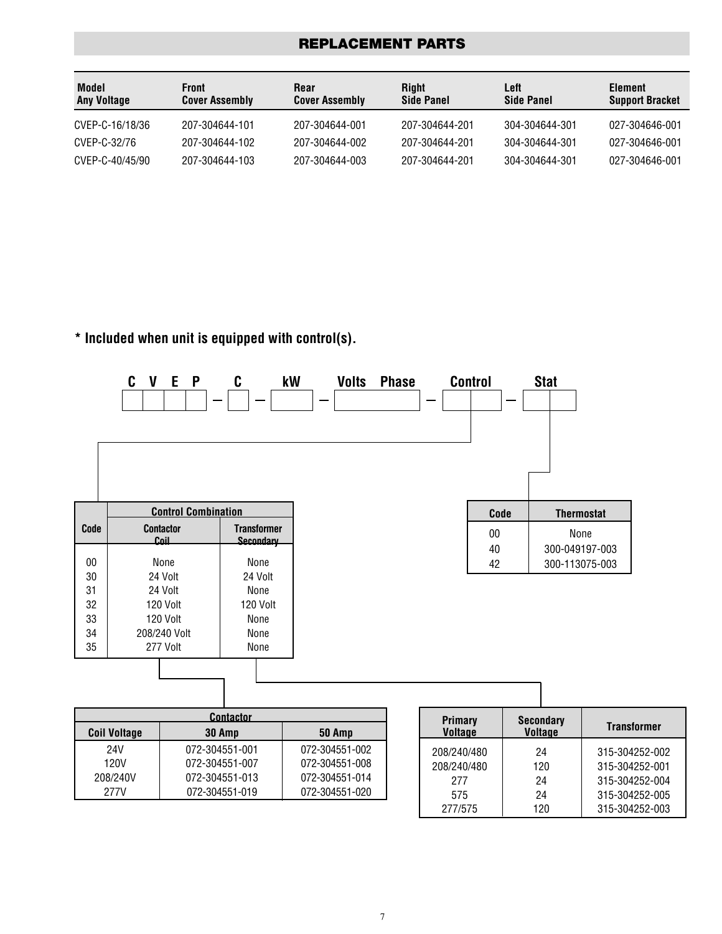## **REPLACEMENT PARTS**

| Model<br><b>Any Voltage</b> | Front<br><b>Cover Assembly</b> | Rear<br><b>Cover Assembly</b> | Riaht<br><b>Side Panel</b> | Left<br><b>Side Panel</b> | Element<br><b>Support Bracket</b> |
|-----------------------------|--------------------------------|-------------------------------|----------------------------|---------------------------|-----------------------------------|
| CVEP-C-16/18/36             | 207-304644-101                 | 207-304644-001                | 207-304644-201             | 304-304644-301            | 027-304646-001                    |
| CVEP-C-32/76                | 207-304644-102                 | 207-304644-002                | 207-304644-201             | 304-304644-301            | 027-304646-001                    |
| CVEP-C-40/45/90             | 207-304644-103                 | 207-304644-003                | 207-304644-201             | 304-304644-301            | 027-304646-001                    |

## **\* Included when unit is equipped with control(s).**